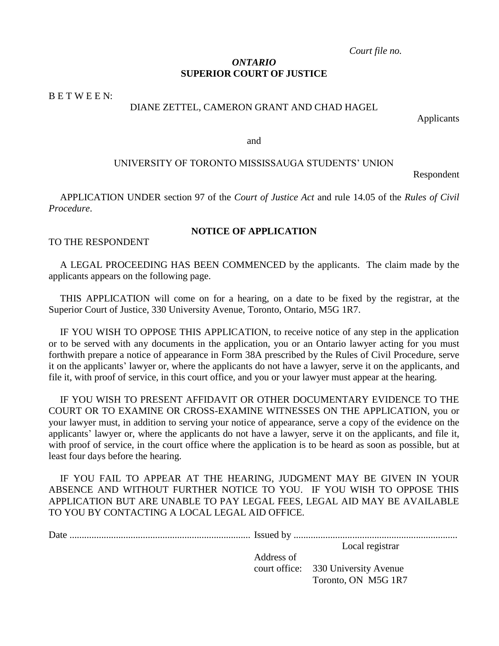*Court file no.*

# *ONTARIO* **SUPERIOR COURT OF JUSTICE**

B E T W E E N:

# DIANE ZETTEL, CAMERON GRANT AND CHAD HAGEL

Applicants

and

# UNIVERSITY OF TORONTO MISSISSAUGA STUDENTS' UNION

Respondent

APPLICATION UNDER section 97 of the *Court of Justice Act* and rule 14.05 of the *Rules of Civil Procedure*.

# **NOTICE OF APPLICATION**

TO THE RESPONDENT

A LEGAL PROCEEDING HAS BEEN COMMENCED by the applicants. The claim made by the applicants appears on the following page.

THIS APPLICATION will come on for a hearing, on a date to be fixed by the registrar, at the Superior Court of Justice, 330 University Avenue, Toronto, Ontario, M5G 1R7.

IF YOU WISH TO OPPOSE THIS APPLICATION, to receive notice of any step in the application or to be served with any documents in the application, you or an Ontario lawyer acting for you must forthwith prepare a notice of appearance in Form 38A prescribed by the Rules of Civil Procedure, serve it on the applicants' lawyer or, where the applicants do not have a lawyer, serve it on the applicants, and file it, with proof of service, in this court office, and you or your lawyer must appear at the hearing.

IF YOU WISH TO PRESENT AFFIDAVIT OR OTHER DOCUMENTARY EVIDENCE TO THE COURT OR TO EXAMINE OR CROSS-EXAMINE WITNESSES ON THE APPLICATION, you or your lawyer must, in addition to serving your notice of appearance, serve a copy of the evidence on the applicants' lawyer or, where the applicants do not have a lawyer, serve it on the applicants, and file it, with proof of service, in the court office where the application is to be heard as soon as possible, but at least four days before the hearing.

IF YOU FAIL TO APPEAR AT THE HEARING, JUDGMENT MAY BE GIVEN IN YOUR ABSENCE AND WITHOUT FURTHER NOTICE TO YOU. IF YOU WISH TO OPPOSE THIS APPLICATION BUT ARE UNABLE TO PAY LEGAL FEES, LEGAL AID MAY BE AVAILABLE TO YOU BY CONTACTING A LOCAL LEGAL AID OFFICE.

|            | Local registrar                     |
|------------|-------------------------------------|
| Address of |                                     |
|            | court office: 330 University Avenue |

Toronto, ON M5G 1R7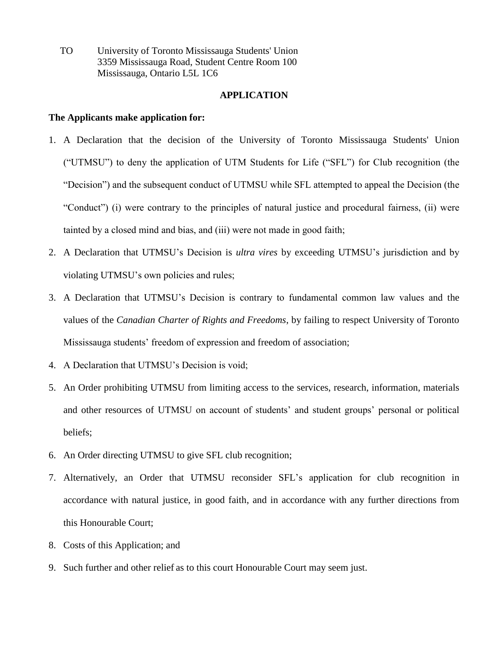TO University of Toronto Mississauga Students' Union 3359 Mississauga Road, Student Centre Room 100 Mississauga, Ontario L5L 1C6

#### **APPLICATION**

# **The Applicants make application for:**

- 1. A Declaration that the decision of the University of Toronto Mississauga Students' Union ("UTMSU") to deny the application of UTM Students for Life ("SFL") for Club recognition (the "Decision") and the subsequent conduct of UTMSU while SFL attempted to appeal the Decision (the "Conduct") (i) were contrary to the principles of natural justice and procedural fairness, (ii) were tainted by a closed mind and bias, and (iii) were not made in good faith;
- 2. A Declaration that UTMSU's Decision is *ultra vires* by exceeding UTMSU's jurisdiction and by violating UTMSU's own policies and rules;
- 3. A Declaration that UTMSU's Decision is contrary to fundamental common law values and the values of the *Canadian Charter of Rights and Freedoms*, by failing to respect University of Toronto Mississauga students' freedom of expression and freedom of association;
- 4. A Declaration that UTMSU's Decision is void;
- 5. An Order prohibiting UTMSU from limiting access to the services, research, information, materials and other resources of UTMSU on account of students' and student groups' personal or political beliefs;
- 6. An Order directing UTMSU to give SFL club recognition;
- 7. Alternatively, an Order that UTMSU reconsider SFL's application for club recognition in accordance with natural justice, in good faith, and in accordance with any further directions from this Honourable Court;
- 8. Costs of this Application; and
- 9. Such further and other relief as to this court Honourable Court may seem just.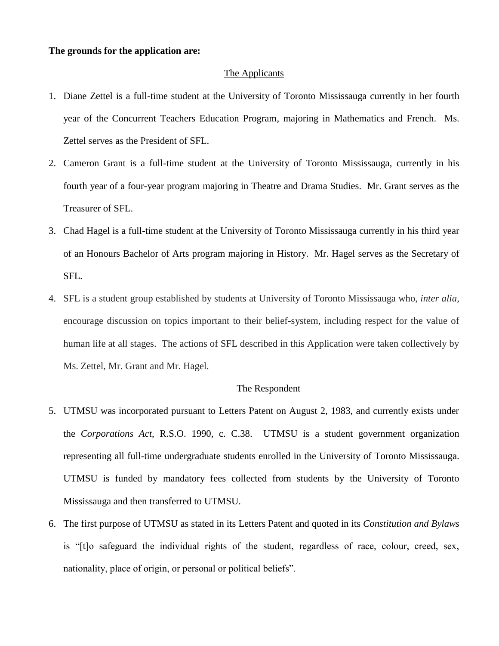#### **The grounds for the application are:**

## The Applicants

- 1. Diane Zettel is a full-time student at the University of Toronto Mississauga currently in her fourth year of the Concurrent Teachers Education Program, majoring in Mathematics and French. Ms. Zettel serves as the President of SFL.
- 2. Cameron Grant is a full-time student at the University of Toronto Mississauga, currently in his fourth year of a four-year program majoring in Theatre and Drama Studies. Mr. Grant serves as the Treasurer of SFL.
- 3. Chad Hagel is a full-time student at the University of Toronto Mississauga currently in his third year of an Honours Bachelor of Arts program majoring in History. Mr. Hagel serves as the Secretary of SFL.
- 4. SFL is a student group established by students at University of Toronto Mississauga who, *inter alia*, encourage discussion on topics important to their belief-system, including respect for the value of human life at all stages. The actions of SFL described in this Application were taken collectively by Ms. Zettel, Mr. Grant and Mr. Hagel.

### The Respondent

- 5. UTMSU was incorporated pursuant to Letters Patent on August 2, 1983, and currently exists under the *Corporations Act*, R.S.O. 1990, c. C.38. UTMSU is a student government organization representing all full-time undergraduate students enrolled in the University of Toronto Mississauga. UTMSU is funded by mandatory fees collected from students by the University of Toronto Mississauga and then transferred to UTMSU.
- 6. The first purpose of UTMSU as stated in its Letters Patent and quoted in its *Constitution and Bylaws* is "[t]o safeguard the individual rights of the student, regardless of race, colour, creed, sex, nationality, place of origin, or personal or political beliefs".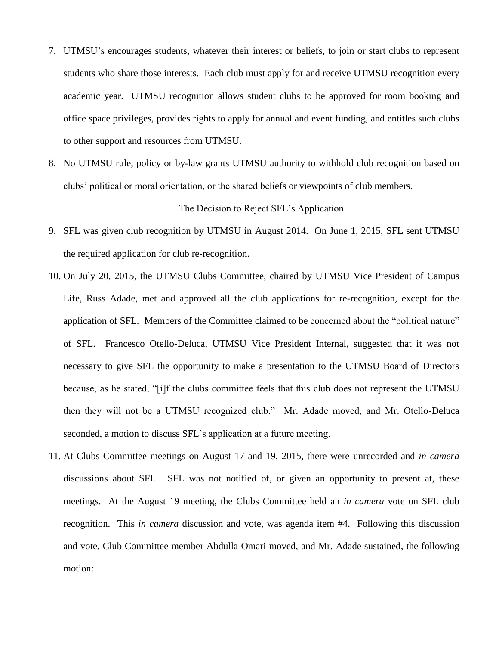- 7. UTMSU's encourages students, whatever their interest or beliefs, to join or start clubs to represent students who share those interests. Each club must apply for and receive UTMSU recognition every academic year. UTMSU recognition allows student clubs to be approved for room booking and office space privileges, provides rights to apply for annual and event funding, and entitles such clubs to other support and resources from UTMSU.
- 8. No UTMSU rule, policy or by-law grants UTMSU authority to withhold club recognition based on clubs' political or moral orientation, or the shared beliefs or viewpoints of club members.

## The Decision to Reject SFL's Application

- 9. SFL was given club recognition by UTMSU in August 2014. On June 1, 2015, SFL sent UTMSU the required application for club re-recognition.
- 10. On July 20, 2015, the UTMSU Clubs Committee, chaired by UTMSU Vice President of Campus Life, Russ Adade, met and approved all the club applications for re-recognition, except for the application of SFL. Members of the Committee claimed to be concerned about the "political nature" of SFL. Francesco Otello-Deluca, UTMSU Vice President Internal, suggested that it was not necessary to give SFL the opportunity to make a presentation to the UTMSU Board of Directors because, as he stated, "[i]f the clubs committee feels that this club does not represent the UTMSU then they will not be a UTMSU recognized club." Mr. Adade moved, and Mr. Otello-Deluca seconded, a motion to discuss SFL's application at a future meeting.
- 11. At Clubs Committee meetings on August 17 and 19, 2015, there were unrecorded and *in camera* discussions about SFL. SFL was not notified of, or given an opportunity to present at, these meetings. At the August 19 meeting, the Clubs Committee held an *in camera* vote on SFL club recognition. This *in camera* discussion and vote, was agenda item #4. Following this discussion and vote, Club Committee member Abdulla Omari moved, and Mr. Adade sustained, the following motion: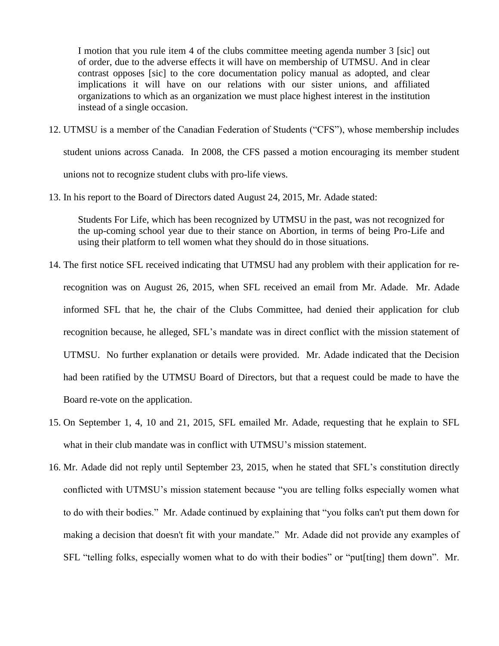I motion that you rule item 4 of the clubs committee meeting agenda number 3 [sic] out of order, due to the adverse effects it will have on membership of UTMSU. And in clear contrast opposes [sic] to the core documentation policy manual as adopted, and clear implications it will have on our relations with our sister unions, and affiliated organizations to which as an organization we must place highest interest in the institution instead of a single occasion.

- 12. UTMSU is a member of the Canadian Federation of Students ("CFS"), whose membership includes student unions across Canada. In 2008, the CFS passed a motion encouraging its member student unions not to recognize student clubs with pro-life views.
- 13. In his report to the Board of Directors dated August 24, 2015, Mr. Adade stated:

Students For Life, which has been recognized by UTMSU in the past, was not recognized for the up-coming school year due to their stance on Abortion, in terms of being Pro-Life and using their platform to tell women what they should do in those situations.

- 14. The first notice SFL received indicating that UTMSU had any problem with their application for rerecognition was on August 26, 2015, when SFL received an email from Mr. Adade. Mr. Adade informed SFL that he, the chair of the Clubs Committee, had denied their application for club recognition because, he alleged, SFL's mandate was in direct conflict with the mission statement of UTMSU. No further explanation or details were provided. Mr. Adade indicated that the Decision had been ratified by the UTMSU Board of Directors, but that a request could be made to have the Board re-vote on the application.
- 15. On September 1, 4, 10 and 21, 2015, SFL emailed Mr. Adade, requesting that he explain to SFL what in their club mandate was in conflict with UTMSU's mission statement.
- 16. Mr. Adade did not reply until September 23, 2015, when he stated that SFL's constitution directly conflicted with UTMSU's mission statement because "you are telling folks especially women what to do with their bodies." Mr. Adade continued by explaining that "you folks can't put them down for making a decision that doesn't fit with your mandate." Mr. Adade did not provide any examples of SFL "telling folks, especially women what to do with their bodies" or "put[ting] them down". Mr.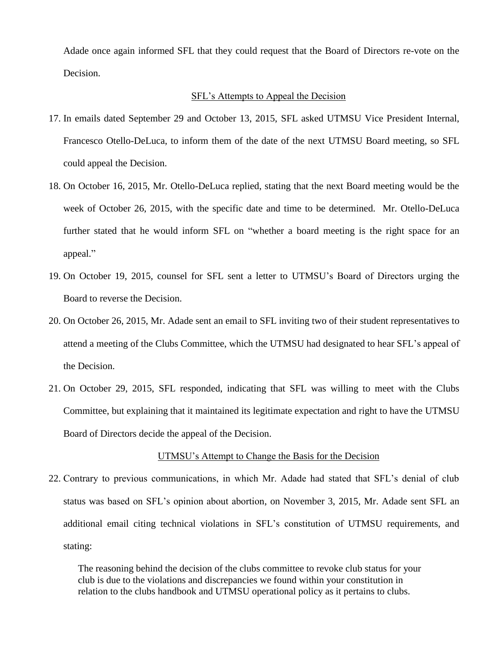Adade once again informed SFL that they could request that the Board of Directors re-vote on the Decision.

#### SFL's Attempts to Appeal the Decision

- 17. In emails dated September 29 and October 13, 2015, SFL asked UTMSU Vice President Internal, Francesco Otello-DeLuca, to inform them of the date of the next UTMSU Board meeting, so SFL could appeal the Decision.
- 18. On October 16, 2015, Mr. Otello-DeLuca replied, stating that the next Board meeting would be the week of October 26, 2015, with the specific date and time to be determined. Mr. Otello-DeLuca further stated that he would inform SFL on "whether a board meeting is the right space for an appeal."
- 19. On October 19, 2015, counsel for SFL sent a letter to UTMSU's Board of Directors urging the Board to reverse the Decision.
- 20. On October 26, 2015, Mr. Adade sent an email to SFL inviting two of their student representatives to attend a meeting of the Clubs Committee, which the UTMSU had designated to hear SFL's appeal of the Decision.
- 21. On October 29, 2015, SFL responded, indicating that SFL was willing to meet with the Clubs Committee, but explaining that it maintained its legitimate expectation and right to have the UTMSU Board of Directors decide the appeal of the Decision.

#### UTMSU's Attempt to Change the Basis for the Decision

22. Contrary to previous communications, in which Mr. Adade had stated that SFL's denial of club status was based on SFL's opinion about abortion, on November 3, 2015, Mr. Adade sent SFL an additional email citing technical violations in SFL's constitution of UTMSU requirements, and stating:

The reasoning behind the decision of the clubs committee to revoke club status for your club is due to the violations and discrepancies we found within your constitution in relation to the clubs handbook and UTMSU operational policy as it pertains to clubs.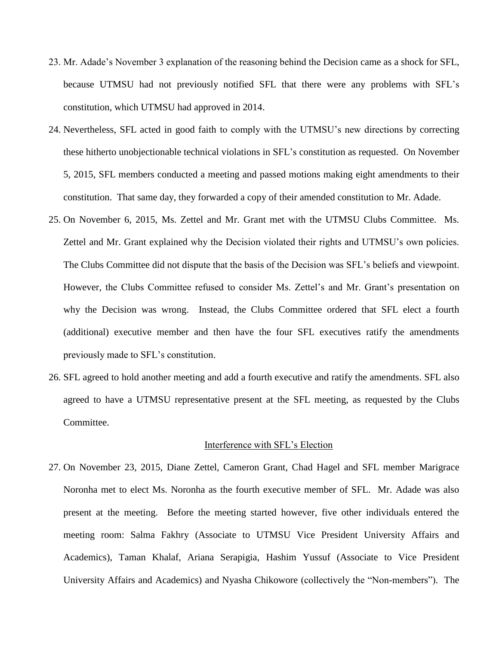- 23. Mr. Adade's November 3 explanation of the reasoning behind the Decision came as a shock for SFL, because UTMSU had not previously notified SFL that there were any problems with SFL's constitution, which UTMSU had approved in 2014.
- 24. Nevertheless, SFL acted in good faith to comply with the UTMSU's new directions by correcting these hitherto unobjectionable technical violations in SFL's constitution as requested. On November 5, 2015, SFL members conducted a meeting and passed motions making eight amendments to their constitution. That same day, they forwarded a copy of their amended constitution to Mr. Adade.
- 25. On November 6, 2015, Ms. Zettel and Mr. Grant met with the UTMSU Clubs Committee. Ms. Zettel and Mr. Grant explained why the Decision violated their rights and UTMSU's own policies. The Clubs Committee did not dispute that the basis of the Decision was SFL's beliefs and viewpoint. However, the Clubs Committee refused to consider Ms. Zettel's and Mr. Grant's presentation on why the Decision was wrong. Instead, the Clubs Committee ordered that SFL elect a fourth (additional) executive member and then have the four SFL executives ratify the amendments previously made to SFL's constitution.
- 26. SFL agreed to hold another meeting and add a fourth executive and ratify the amendments. SFL also agreed to have a UTMSU representative present at the SFL meeting, as requested by the Clubs Committee.

#### Interference with SFL's Election

27. On November 23, 2015, Diane Zettel, Cameron Grant, Chad Hagel and SFL member Marigrace Noronha met to elect Ms. Noronha as the fourth executive member of SFL. Mr. Adade was also present at the meeting. Before the meeting started however, five other individuals entered the meeting room: Salma Fakhry (Associate to UTMSU Vice President University Affairs and Academics), Taman Khalaf, Ariana Serapigia, Hashim Yussuf (Associate to Vice President University Affairs and Academics) and Nyasha Chikowore (collectively the "Non-members"). The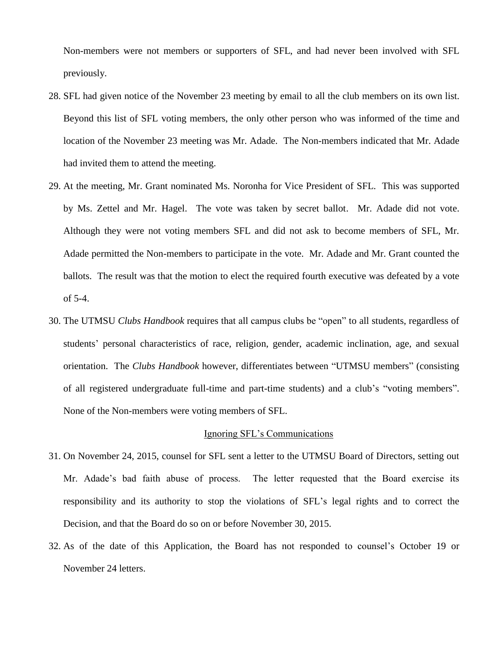Non-members were not members or supporters of SFL, and had never been involved with SFL previously.

- 28. SFL had given notice of the November 23 meeting by email to all the club members on its own list. Beyond this list of SFL voting members, the only other person who was informed of the time and location of the November 23 meeting was Mr. Adade. The Non-members indicated that Mr. Adade had invited them to attend the meeting.
- 29. At the meeting, Mr. Grant nominated Ms. Noronha for Vice President of SFL. This was supported by Ms. Zettel and Mr. Hagel. The vote was taken by secret ballot. Mr. Adade did not vote. Although they were not voting members SFL and did not ask to become members of SFL, Mr. Adade permitted the Non-members to participate in the vote. Mr. Adade and Mr. Grant counted the ballots. The result was that the motion to elect the required fourth executive was defeated by a vote of 5-4.
- 30. The UTMSU *Clubs Handbook* requires that all campus clubs be "open" to all students, regardless of students' personal characteristics of race, religion, gender, academic inclination, age, and sexual orientation. The *Clubs Handbook* however, differentiates between "UTMSU members" (consisting of all registered undergraduate full-time and part-time students) and a club's "voting members". None of the Non-members were voting members of SFL.

#### Ignoring SFL's Communications

- 31. On November 24, 2015, counsel for SFL sent a letter to the UTMSU Board of Directors, setting out Mr. Adade's bad faith abuse of process. The letter requested that the Board exercise its responsibility and its authority to stop the violations of SFL's legal rights and to correct the Decision, and that the Board do so on or before November 30, 2015.
- 32. As of the date of this Application, the Board has not responded to counsel's October 19 or November 24 letters.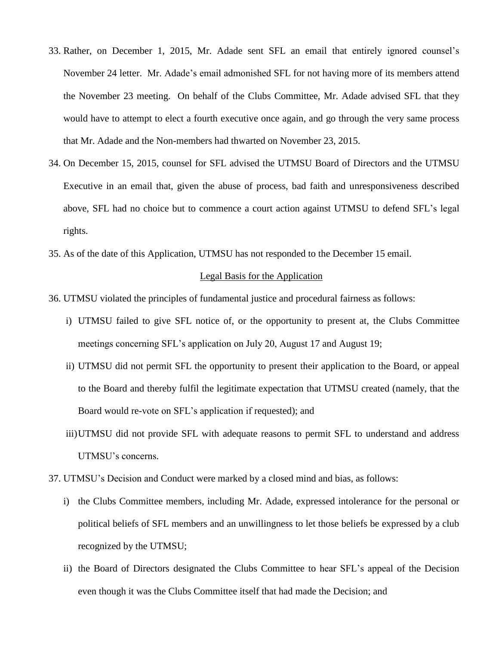- 33. Rather, on December 1, 2015, Mr. Adade sent SFL an email that entirely ignored counsel's November 24 letter. Mr. Adade's email admonished SFL for not having more of its members attend the November 23 meeting. On behalf of the Clubs Committee, Mr. Adade advised SFL that they would have to attempt to elect a fourth executive once again, and go through the very same process that Mr. Adade and the Non-members had thwarted on November 23, 2015.
- 34. On December 15, 2015, counsel for SFL advised the UTMSU Board of Directors and the UTMSU Executive in an email that, given the abuse of process, bad faith and unresponsiveness described above, SFL had no choice but to commence a court action against UTMSU to defend SFL's legal rights.
- 35. As of the date of this Application, UTMSU has not responded to the December 15 email.

#### Legal Basis for the Application

- 36. UTMSU violated the principles of fundamental justice and procedural fairness as follows:
	- i) UTMSU failed to give SFL notice of, or the opportunity to present at, the Clubs Committee meetings concerning SFL's application on July 20, August 17 and August 19;
	- ii) UTMSU did not permit SFL the opportunity to present their application to the Board, or appeal to the Board and thereby fulfil the legitimate expectation that UTMSU created (namely, that the Board would re-vote on SFL's application if requested); and
	- iii)UTMSU did not provide SFL with adequate reasons to permit SFL to understand and address UTMSU's concerns.
- 37. UTMSU's Decision and Conduct were marked by a closed mind and bias, as follows:
	- i) the Clubs Committee members, including Mr. Adade, expressed intolerance for the personal or political beliefs of SFL members and an unwillingness to let those beliefs be expressed by a club recognized by the UTMSU;
	- ii) the Board of Directors designated the Clubs Committee to hear SFL's appeal of the Decision even though it was the Clubs Committee itself that had made the Decision; and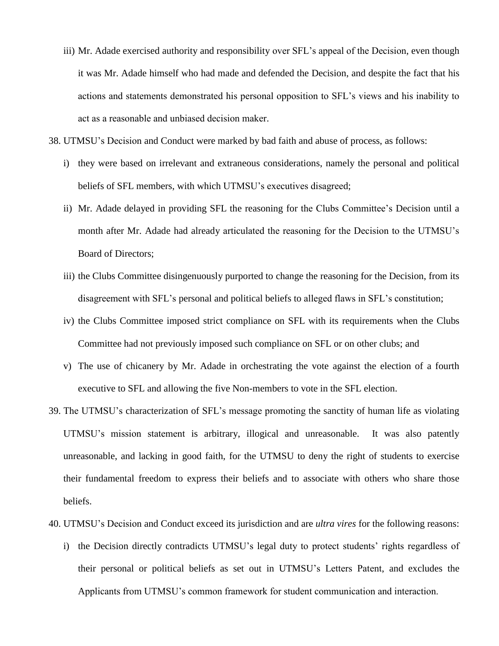- iii) Mr. Adade exercised authority and responsibility over SFL's appeal of the Decision, even though it was Mr. Adade himself who had made and defended the Decision, and despite the fact that his actions and statements demonstrated his personal opposition to SFL's views and his inability to act as a reasonable and unbiased decision maker.
- 38. UTMSU's Decision and Conduct were marked by bad faith and abuse of process, as follows:
	- i) they were based on irrelevant and extraneous considerations, namely the personal and political beliefs of SFL members, with which UTMSU's executives disagreed;
	- ii) Mr. Adade delayed in providing SFL the reasoning for the Clubs Committee's Decision until a month after Mr. Adade had already articulated the reasoning for the Decision to the UTMSU's Board of Directors;
	- iii) the Clubs Committee disingenuously purported to change the reasoning for the Decision, from its disagreement with SFL's personal and political beliefs to alleged flaws in SFL's constitution;
	- iv) the Clubs Committee imposed strict compliance on SFL with its requirements when the Clubs Committee had not previously imposed such compliance on SFL or on other clubs; and
	- v) The use of chicanery by Mr. Adade in orchestrating the vote against the election of a fourth executive to SFL and allowing the five Non-members to vote in the SFL election.
- 39. The UTMSU's characterization of SFL's message promoting the sanctity of human life as violating UTMSU's mission statement is arbitrary, illogical and unreasonable. It was also patently unreasonable, and lacking in good faith, for the UTMSU to deny the right of students to exercise their fundamental freedom to express their beliefs and to associate with others who share those beliefs.
- 40. UTMSU's Decision and Conduct exceed its jurisdiction and are *ultra vires* for the following reasons:
	- i) the Decision directly contradicts UTMSU's legal duty to protect students' rights regardless of their personal or political beliefs as set out in UTMSU's Letters Patent, and excludes the Applicants from UTMSU's common framework for student communication and interaction.